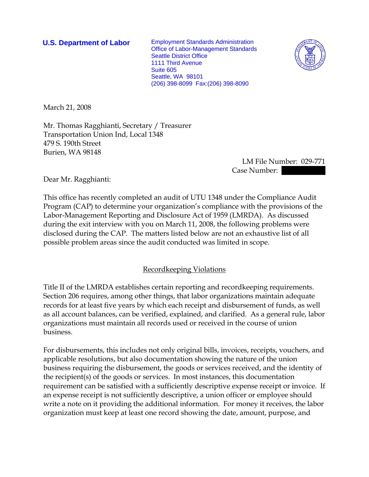**U.S. Department of Labor** Employment Standards Administration Office of Labor-Management Standards Seattle District Office 1111 Third Avenue Suite 605 Seattle, WA 98101 (206) 398-8099 Fax:(206) 398-8090



March 21, 2008

Mr. Thomas Ragghianti, Secretary / Treasurer Transportation Union Ind, Local 1348 479 S. 190th Street Burien, WA 98148

> LM File Number: 029-771 Case Number:

Dear Mr. Ragghianti:

This office has recently completed an audit of UTU 1348 under the Compliance Audit Program (CAP) to determine your organization's compliance with the provisions of the Labor-Management Reporting and Disclosure Act of 1959 (LMRDA). As discussed during the exit interview with you on March 11, 2008, the following problems were disclosed during the CAP. The matters listed below are not an exhaustive list of all possible problem areas since the audit conducted was limited in scope.

## Recordkeeping Violations

Title II of the LMRDA establishes certain reporting and recordkeeping requirements. Section 206 requires, among other things, that labor organizations maintain adequate records for at least five years by which each receipt and disbursement of funds, as well as all account balances, can be verified, explained, and clarified. As a general rule, labor organizations must maintain all records used or received in the course of union business.

For disbursements, this includes not only original bills, invoices, receipts, vouchers, and applicable resolutions, but also documentation showing the nature of the union business requiring the disbursement, the goods or services received, and the identity of the recipient(s) of the goods or services. In most instances, this documentation requirement can be satisfied with a sufficiently descriptive expense receipt or invoice. If an expense receipt is not sufficiently descriptive, a union officer or employee should write a note on it providing the additional information. For money it receives, the labor organization must keep at least one record showing the date, amount, purpose, and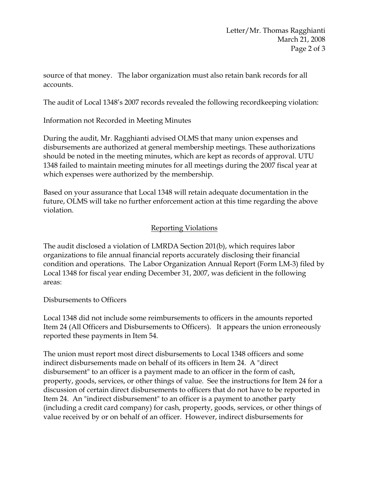source of that money. The labor organization must also retain bank records for all accounts.

The audit of Local 1348's 2007 records revealed the following recordkeeping violation:

Information not Recorded in Meeting Minutes

During the audit, Mr. Ragghianti advised OLMS that many union expenses and disbursements are authorized at general membership meetings. These authorizations should be noted in the meeting minutes, which are kept as records of approval. UTU 1348 failed to maintain meeting minutes for all meetings during the 2007 fiscal year at which expenses were authorized by the membership.

Based on your assurance that Local 1348 will retain adequate documentation in the future, OLMS will take no further enforcement action at this time regarding the above violation.

## Reporting Violations

The audit disclosed a violation of LMRDA Section 201(b), which requires labor organizations to file annual financial reports accurately disclosing their financial condition and operations. The Labor Organization Annual Report (Form LM-3) filed by Local 1348 for fiscal year ending December 31, 2007, was deficient in the following areas:

Disbursements to Officers

Local 1348 did not include some reimbursements to officers in the amounts reported Item 24 (All Officers and Disbursements to Officers). It appears the union erroneously reported these payments in Item 54.

The union must report most direct disbursements to Local 1348 officers and some indirect disbursements made on behalf of its officers in Item 24. A "direct disbursement" to an officer is a payment made to an officer in the form of cash, property, goods, services, or other things of value. See the instructions for Item 24 for a discussion of certain direct disbursements to officers that do not have to be reported in Item 24. An "indirect disbursement" to an officer is a payment to another party (including a credit card company) for cash, property, goods, services, or other things of value received by or on behalf of an officer. However, indirect disbursements for